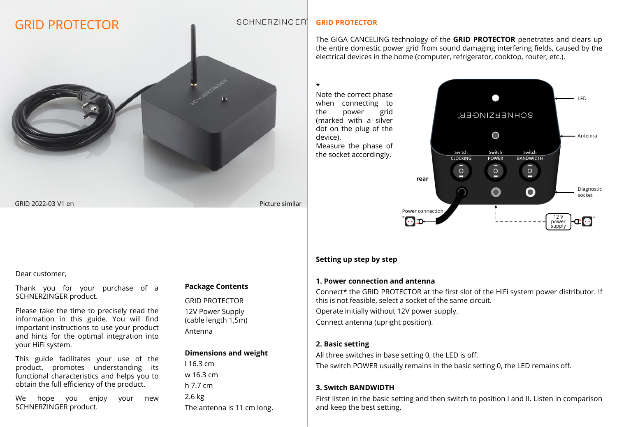# GRID PROTECTOR

#### **SCHNERZINGER**

# **GRID PROTECTOR**

The GIGA CANCELING technology of the **GRID PROTECTOR** penetrates and clears up the entire domestic power grid from sound damaging interfering fields, caused by the electrical devices in the home (computer, refrigerator, cooktop, router, etc.).

\*

Note the correct phase when connecting to the power grid (marked with a silver dot on the plug of the device). Measure the phase of the socket accordingly.



#### Dear customer,

Thank you for your purchase of a SCHNERZINGER product.

Please take the time to precisely read the information in this guide. You will find important instructions to use your product and hints for the optimal integration into your HiFi system.

This guide facilitates your use of the product, promotes understanding its functional characteristics and helps you to obtain the full efficiency of the product.

We hope you enjoy your new SCHNERZINGER product.

# **Package Contents**

GRID 2022-03 V1 en Picture similar

GRID PROTECTOR 12V Power Supply (cable length 1,5m) Antenna

#### **Dimensions and weight**

l 16.3 cm w 16.3 cm h 7.7 cm 2.6 kg The antenna is 11 cm long.

# **Setting up step by step**

### **1. Power connection and antenna**

Connect\* the GRID PROTECTOR at the first slot of the HiFi system power distributor. If this is not feasible, select a socket of the same circuit.

Operate initially without 12V power supply. Connect antenna (upright position).

### **2. Basic setting**

All three switches in base setting 0, the LED is off. The switch POWER usually remains in the basic setting 0, the LED remains off.

# **3. Switch BANDWIDTH**

First listen in the basic setting and then switch to position I and II. Listen in comparison and keep the best setting.